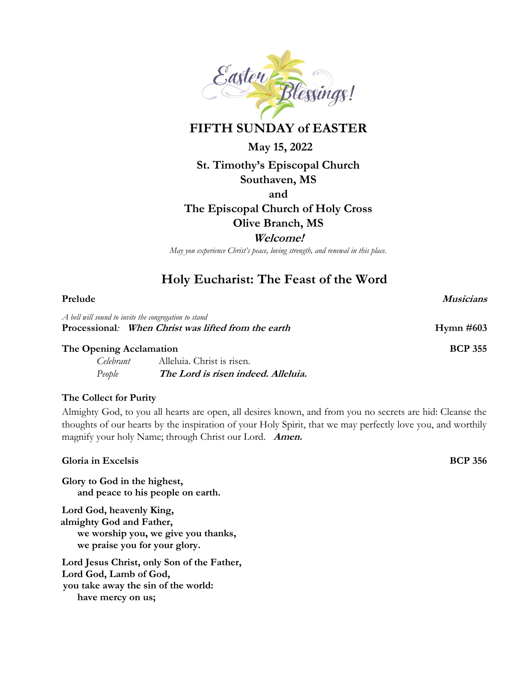

# **FIFTH SUNDAY of EASTER**

# **May 15, 2022**

# **St. Timothy's Episcopal Church Southaven, MS**

**and**

# **The Episcopal Church of Holy Cross Olive Branch, MS**

**Welcome!**

*May you experience Christ's peace, loving strength, and renewal in this place.*

# **Holy Eucharist: The Feast of the Word**

| Prelude                                               |                                                     | <i>Musicians</i> |  |
|-------------------------------------------------------|-----------------------------------------------------|------------------|--|
| A bell will sound to invite the congregation to stand | Processional: When Christ was lifted from the earth | Hymn $\#603$     |  |
| The Opening Acclamation                               |                                                     | <b>BCP 355</b>   |  |
| Celebrant                                             | Alleluia. Christ is risen.                          |                  |  |
| People                                                | The Lord is risen indeed. Alleluia.                 |                  |  |

## **The Collect for Purity**

Almighty God, to you all hearts are open, all desires known, and from you no secrets are hid: Cleanse the thoughts of our hearts by the inspiration of your Holy Spirit, that we may perfectly love you, and worthily magnify your holy Name; through Christ our Lord. **Amen.**

**Gloria in Excelsis BCP 356**

**Glory to God in the highest, and peace to his people on earth.**

**Lord God, heavenly King, almighty God and Father, we worship you, we give you thanks, we praise you for your glory.**

**Lord Jesus Christ, only Son of the Father, Lord God, Lamb of God, you take away the sin of the world: have mercy on us;**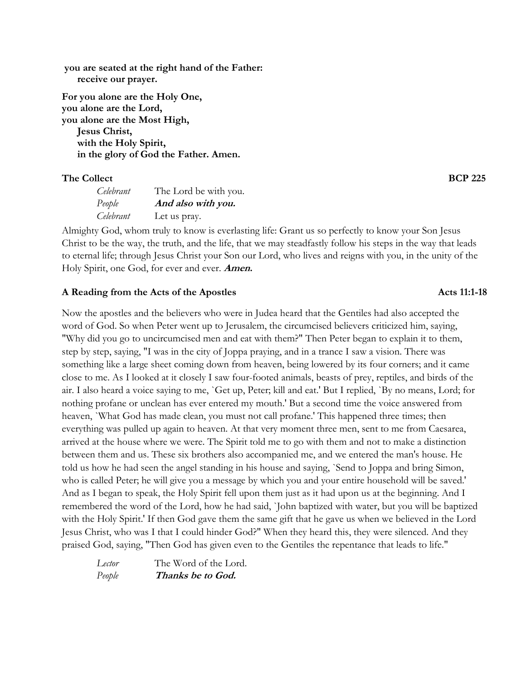**you are seated at the right hand of the Father: receive our prayer.**

**For you alone are the Holy One, you alone are the Lord, you alone are the Most High, Jesus Christ, with the Holy Spirit, in the glory of God the Father. Amen.**

## **The Collect** BCP 225

| Celebrant | The Lord be with you. |
|-----------|-----------------------|
| People    | And also with you.    |
| Celebrant | Let us pray.          |

Almighty God, whom truly to know is everlasting life: Grant us so perfectly to know your Son Jesus Christ to be the way, the truth, and the life, that we may steadfastly follow his steps in the way that leads to eternal life; through Jesus Christ your Son our Lord, who lives and reigns with you, in the unity of the Holy Spirit, one God, for ever and ever. **Amen.**

## **A Reading from the Acts of the Apostles Acts 11:1-18**

Now the apostles and the believers who were in Judea heard that the Gentiles had also accepted the word of God. So when Peter went up to Jerusalem, the circumcised believers criticized him, saying, "Why did you go to uncircumcised men and eat with them?" Then Peter began to explain it to them, step by step, saying, "I was in the city of Joppa praying, and in a trance I saw a vision. There was something like a large sheet coming down from heaven, being lowered by its four corners; and it came close to me. As I looked at it closely I saw four-footed animals, beasts of prey, reptiles, and birds of the air. I also heard a voice saying to me, `Get up, Peter; kill and eat.' But I replied, `By no means, Lord; for nothing profane or unclean has ever entered my mouth.' But a second time the voice answered from heaven, `What God has made clean, you must not call profane.' This happened three times; then everything was pulled up again to heaven. At that very moment three men, sent to me from Caesarea, arrived at the house where we were. The Spirit told me to go with them and not to make a distinction between them and us. These six brothers also accompanied me, and we entered the man's house. He told us how he had seen the angel standing in his house and saying, `Send to Joppa and bring Simon, who is called Peter; he will give you a message by which you and your entire household will be saved.' And as I began to speak, the Holy Spirit fell upon them just as it had upon us at the beginning. And I remembered the word of the Lord, how he had said, `John baptized with water, but you will be baptized with the Holy Spirit.' If then God gave them the same gift that he gave us when we believed in the Lord Jesus Christ, who was I that I could hinder God?" When they heard this, they were silenced. And they praised God, saying, "Then God has given even to the Gentiles the repentance that leads to life."

*Lector* The Word of the Lord. *People* **Thanks be to God.**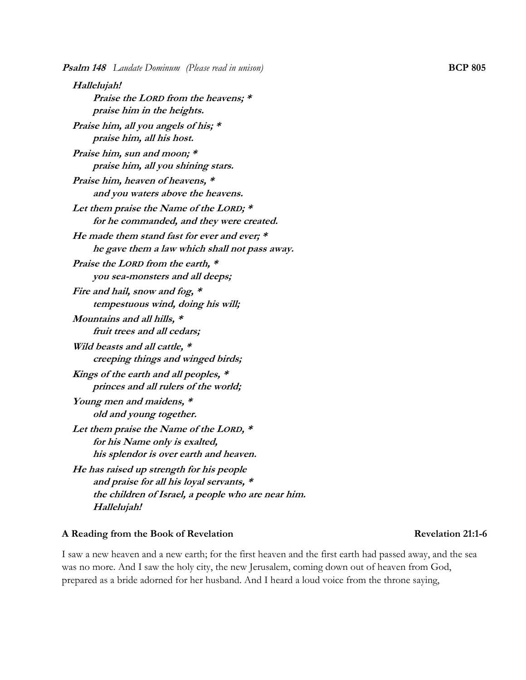**Psalm 148** *Laudate Dominum (Please read in unison)* **BCP 805**

**Hallelujah! Praise the LORD from the heavens; \* praise him in the heights. Praise him, all you angels of his; \* praise him, all his host. Praise him, sun and moon; \* praise him, all you shining stars. Praise him, heaven of heavens, \* and you waters above the heavens. Let them praise the Name of the LORD; \* for he commanded, and they were created. He made them stand fast for ever and ever; \* he gave them a law which shall not pass away. Praise the LORD from the earth, \* you sea-monsters and all deeps; Fire and hail, snow and fog, \* tempestuous wind, doing his will; Mountains and all hills, \* fruit trees and all cedars; Wild beasts and all cattle, \* creeping things and winged birds; Kings of the earth and all peoples, \* princes and all rulers of the world; Young men and maidens, \* old and young together. Let them praise the Name of the LORD, \* for his Name only is exalted, his splendor is over earth and heaven. He has raised up strength for his people and praise for all his loyal servants, \***

#### **A Reading from the Book of Revelation Revelation 21:1-6**

**Hallelujah!**

**the children of Israel, a people who are near him.**

I saw a new heaven and a new earth; for the first heaven and the first earth had passed away, and the sea was no more. And I saw the holy city, the new Jerusalem, coming down out of heaven from God, prepared as a bride adorned for her husband. And I heard a loud voice from the throne saying,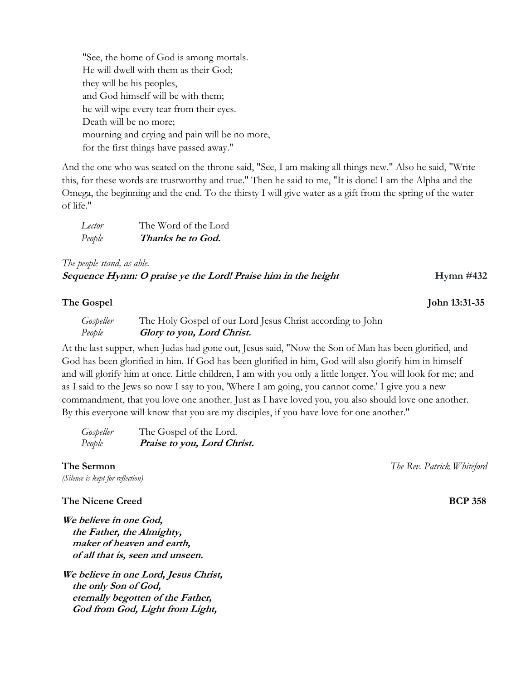"See, the home of God is among mortals. He will dwell with them as their God; they will be his peoples, and God himself will be with them; he will wipe every tear from their eyes. Death will be no more; mourning and crying and pain will be no more, for the first things have passed away."

And the one who was seated on the throne said, "See, I am making all things new." Also he said, "Write this, for these words are trustworthy and true." Then he said to me, "It is done! I am the Alpha and the Omega, the beginning and the end. To the thirsty I will give water as a gift from the spring of the water of life."

| Lector | The Word of the Lord |
|--------|----------------------|
| People | Thanks be to God.    |

*The people stand, as able.* **Sequence Hymn: O praise ye the Lord! Praise him in the height Hymn #432** 

## **The Gospel** John 13:31-35

*Gospeller* The Holy Gospel of our Lord Jesus Christ according to John *People* **Glory to you, Lord Christ.**

At the last supper, when Judas had gone out, Jesus said, "Now the Son of Man has been glorified, and God has been glorified in him. If God has been glorified in him, God will also glorify him in himself and will glorify him at once. Little children, I am with you only a little longer. You will look for me; and as I said to the Jews so now I say to you, 'Where I am going, you cannot come.' I give you a new commandment, that you love one another. Just as I have loved you, you also should love one another. By this everyone will know that you are my disciples, if you have love for one another."

| Gospeller | The Gospel of the Lord.     |
|-----------|-----------------------------|
| People    | Praise to you, Lord Christ. |

*(Silence is kept for reflection)*

### **The Nicene Creed BCP 358**

**We believe in one God, the Father, the Almighty, maker of heaven and earth, of all that is, seen and unseen.**

**We believe in one Lord, Jesus Christ, the only Son of God, eternally begotten of the Father, God from God, Light from Light,**

**The Sermon** *The Rev. Patrick Whiteford*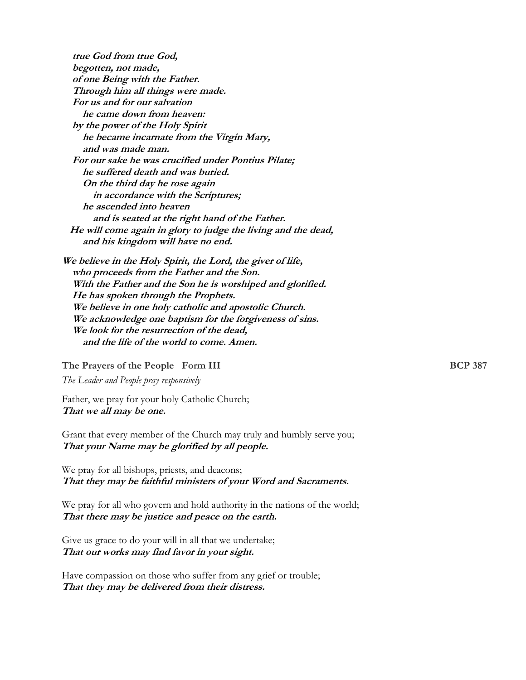**true God from true God, begotten, not made, of one Being with the Father. Through him all things were made. For us and for our salvation he came down from heaven: by the power of the Holy Spirit he became incarnate from the Virgin Mary, and was made man. For our sake he was crucified under Pontius Pilate; he suffered death and was buried. On the third day he rose again in accordance with the Scriptures; he ascended into heaven and is seated at the right hand of the Father. He will come again in glory to judge the living and the dead, and his kingdom will have no end. We believe in the Holy Spirit, the Lord, the giver of life,**

 **who proceeds from the Father and the Son. With the Father and the Son he is worshiped and glorified. He has spoken through the Prophets. We believe in one holy catholic and apostolic Church. We acknowledge one baptism for the forgiveness of sins. We look for the resurrection of the dead, and the life of the world to come. Amen.**

The Prayers of the People Form III **BCP 387** *The Leader and People pray responsively*

Father, we pray for your holy Catholic Church; **That we all may be one.**

Grant that every member of the Church may truly and humbly serve you; **That your Name may be glorified by all people.**

We pray for all bishops, priests, and deacons; **That they may be faithful ministers of your Word and Sacraments.**

We pray for all who govern and hold authority in the nations of the world; **That there may be justice and peace on the earth.**

Give us grace to do your will in all that we undertake; **That our works may find favor in your sight.**

Have compassion on those who suffer from any grief or trouble; **That they may be delivered from their distress.**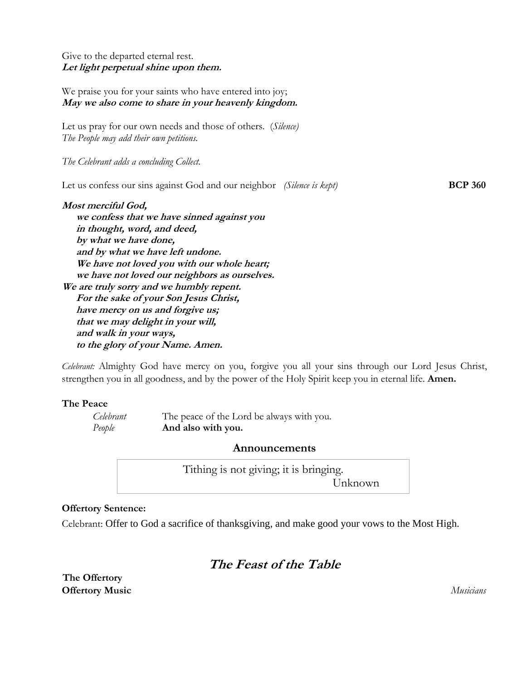Give to the departed eternal rest. **Let light perpetual shine upon them.**

We praise you for your saints who have entered into joy; **May we also come to share in your heavenly kingdom.**

Let us pray for our own needs and those of others. (*Silence) The People may add their own petitions.*

*The Celebrant adds a concluding Collect.*

Let us confess our sins against God and our neighbor *(Silence is kept)* **BCP 360** 

#### **Most merciful God,**

 **we confess that we have sinned against you in thought, word, and deed, by what we have done, and by what we have left undone. We have not loved you with our whole heart; we have not loved our neighbors as ourselves. We are truly sorry and we humbly repent. For the sake of your Son Jesus Christ, have mercy on us and forgive us; that we may delight in your will, and walk in your ways, to the glory of your Name. Amen.**

*Celebrant:* Almighty God have mercy on you, forgive you all your sins through our Lord Jesus Christ, strengthen you in all goodness, and by the power of the Holy Spirit keep you in eternal life. **Amen.**

### **The Peace**

| Celebrant | The peace of the Lord be always with you. |
|-----------|-------------------------------------------|
| People    | And also with you.                        |

### **Announcements**

Tithing is not giving; it is bringing. Unknown

### **Offertory Sentence:**

Celebrant: Offer to God a sacrifice of thanksgiving, and make good your vows to the Most High.

# **The Feast of the Table**

**The Offertory Offertory Music** *Musicians*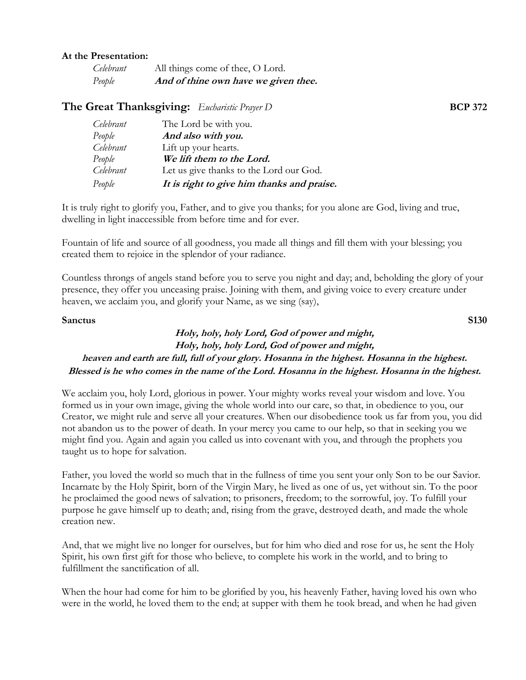#### **At the Presentation:**

| Celebrant | All things come of thee, O Lord.     |
|-----------|--------------------------------------|
| People    | And of thine own have we given thee. |

## **The Great Thanksgiving:** *Eucharistic Prayer D* **BCP 372**

| Celebrant | The Lord be with you.                      |
|-----------|--------------------------------------------|
| People    | And also with you.                         |
| Celebrant | Lift up your hearts.                       |
| People    | We lift them to the Lord.                  |
| Celebrant | Let us give thanks to the Lord our God.    |
| People    | It is right to give him thanks and praise. |

It is truly right to glorify you, Father, and to give you thanks; for you alone are God, living and true, dwelling in light inaccessible from before time and for ever.

Fountain of life and source of all goodness, you made all things and fill them with your blessing; you created them to rejoice in the splendor of your radiance.

Countless throngs of angels stand before you to serve you night and day; and, beholding the glory of your presence, they offer you unceasing praise. Joining with them, and giving voice to every creature under heaven, we acclaim you, and glorify your Name, as we sing (say),

### **Sanctus S130**

# **Holy, holy, holy Lord, God of power and might, Holy, holy, holy Lord, God of power and might, heaven and earth are full, full of your glory. Hosanna in the highest. Hosanna in the highest. Blessed is he who comes in the name of the Lord. Hosanna in the highest. Hosanna in the highest.**

We acclaim you, holy Lord, glorious in power. Your mighty works reveal your wisdom and love. You formed us in your own image, giving the whole world into our care, so that, in obedience to you, our Creator, we might rule and serve all your creatures. When our disobedience took us far from you, you did not abandon us to the power of death. In your mercy you came to our help, so that in seeking you we might find you. Again and again you called us into covenant with you, and through the prophets you taught us to hope for salvation.

Father, you loved the world so much that in the fullness of time you sent your only Son to be our Savior. Incarnate by the Holy Spirit, born of the Virgin Mary, he lived as one of us, yet without sin. To the poor he proclaimed the good news of salvation; to prisoners, freedom; to the sorrowful, joy. To fulfill your purpose he gave himself up to death; and, rising from the grave, destroyed death, and made the whole creation new.

And, that we might live no longer for ourselves, but for him who died and rose for us, he sent the Holy Spirit, his own first gift for those who believe, to complete his work in the world, and to bring to fulfillment the sanctification of all.

When the hour had come for him to be glorified by you, his heavenly Father, having loved his own who were in the world, he loved them to the end; at supper with them he took bread, and when he had given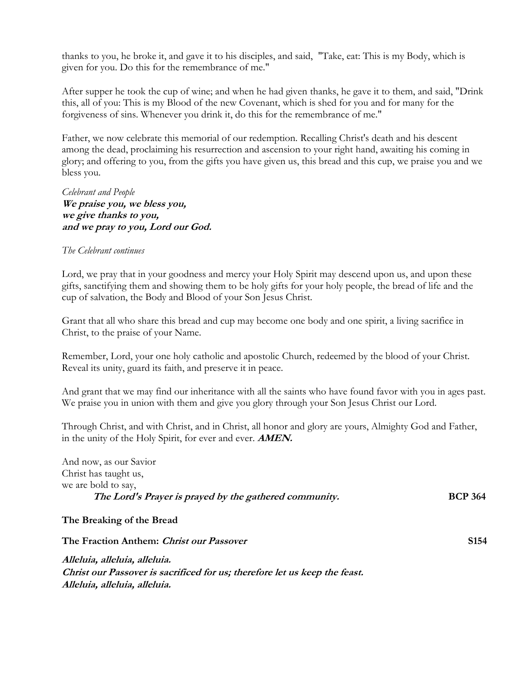thanks to you, he broke it, and gave it to his disciples, and said, "Take, eat: This is my Body, which is given for you. Do this for the remembrance of me."

After supper he took the cup of wine; and when he had given thanks, he gave it to them, and said, "Drink this, all of you: This is my Blood of the new Covenant, which is shed for you and for many for the forgiveness of sins. Whenever you drink it, do this for the remembrance of me."

Father, we now celebrate this memorial of our redemption. Recalling Christ's death and his descent among the dead, proclaiming his resurrection and ascension to your right hand, awaiting his coming in glory; and offering to you, from the gifts you have given us, this bread and this cup, we praise you and we bless you.

*Celebrant and People* **We praise you, we bless you, we give thanks to you, and we pray to you, Lord our God.**

### *The Celebrant continues*

Lord, we pray that in your goodness and mercy your Holy Spirit may descend upon us, and upon these gifts, sanctifying them and showing them to be holy gifts for your holy people, the bread of life and the cup of salvation, the Body and Blood of your Son Jesus Christ.

Grant that all who share this bread and cup may become one body and one spirit, a living sacrifice in Christ, to the praise of your Name.

Remember, Lord, your one holy catholic and apostolic Church, redeemed by the blood of your Christ. Reveal its unity, guard its faith, and preserve it in peace.

And grant that we may find our inheritance with all the saints who have found favor with you in ages past. We praise you in union with them and give you glory through your Son Jesus Christ our Lord.

Through Christ, and with Christ, and in Christ, all honor and glory are yours, Almighty God and Father, in the unity of the Holy Spirit, for ever and ever. **AMEN.**

| And now, as our Savior                                                     |                  |
|----------------------------------------------------------------------------|------------------|
| Christ has taught us,                                                      |                  |
| we are bold to say,                                                        |                  |
| The Lord's Prayer is prayed by the gathered community.                     | <b>BCP 364</b>   |
| The Breaking of the Bread                                                  |                  |
| The Fraction Anthem: Christ our Passover                                   | S <sub>154</sub> |
| Alleluia, alleluia, alleluia.                                              |                  |
| Christ our Passover is sacrificed for us; therefore let us keep the feast. |                  |
| Alleluia, alleluia, alleluia.                                              |                  |
|                                                                            |                  |
|                                                                            |                  |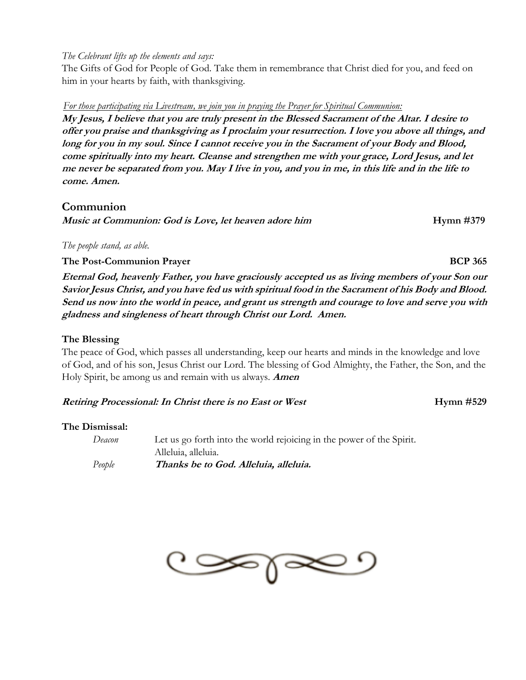# *The Celebrant lifts up the elements and says:*

The Gifts of God for People of God. Take them in remembrance that Christ died for you, and feed on him in your hearts by faith, with thanksgiving.

### *For those participating via Livestream, we join you in praying the Prayer for Spiritual Communion:*

**My Jesus, I believe that you are truly present in the Blessed Sacrament of the Altar. I desire to offer you praise and thanksgiving as I proclaim your resurrection. I love you above all things, and long for you in my soul. Since I cannot receive you in the Sacrament of your Body and Blood, come spiritually into my heart. Cleanse and strengthen me with your grace, Lord Jesus, and let me never be separated from you. May I live in you, and you in me, in this life and in the life to come. Amen.**

# **Communion**

*Music at Communion: God is Love, let heaven adore him* **the same that the Hymn #379** 

### *The people stand, as able.*

The Post-Communion Prayer BCP 365

**Eternal God, heavenly Father, you have graciously accepted us as living members of your Son our Savior Jesus Christ, and you have fed us with spiritual food in the Sacrament of his Body and Blood. Send us now into the world in peace, and grant us strength and courage to love and serve you with gladness and singleness of heart through Christ our Lord. Amen.**

## **The Blessing**

The peace of God, which passes all understanding, keep our hearts and minds in the knowledge and love of God, and of his son, Jesus Christ our Lord. The blessing of God Almighty, the Father, the Son, and the Holy Spirit, be among us and remain with us always. **Amen**

### **Retiring Processional: In Christ there is no East or West Hymn #529**

### **The Dismissal:**

*Deacon* Let us go forth into the world rejoicing in the power of the Spirit. Alleluia, alleluia. *People* **Thanks be to God. Alleluia, alleluia.**

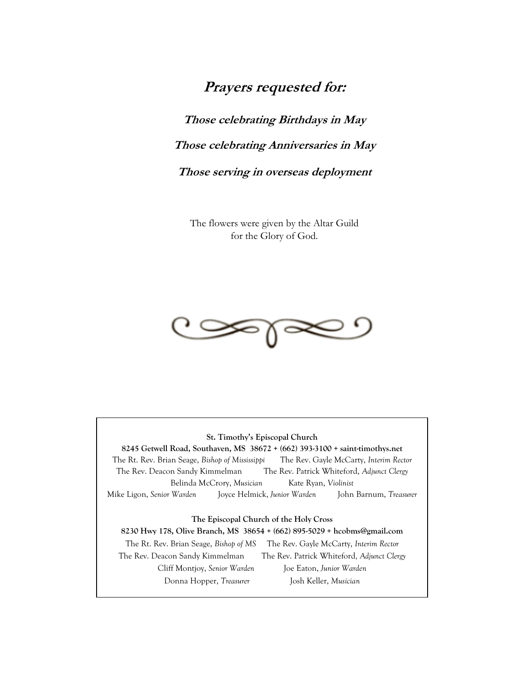# **Prayers requested for:**

**Those celebrating Birthdays in May Those celebrating Anniversaries in May Those serving in overseas deployment**

The flowers were given by the Altar Guild for the Glory of God.



#### **St. Timothy's Episcopal Church**

**8245 Getwell Road, Southaven, MS 38672 + (662) 393-3100 + saint-timothys.net** The Rt. Rev. Brian Seage, *Bishop of Mississippi* The Rev. Gayle McCarty, *Interim Rector* The Rev. Deacon Sandy Kimmelman The Rev. Patrick Whiteford, *Adjunct Clergy* Belinda McCrory, *Musician* Kate Ryan, *Violinist* Mike Ligon, *Senior Warden* Joyce Helmick, *Junior Warden* John Barnum, *Treasurer*

**The Episcopal Church of the Holy Cross**

#### **8230 Hwy 178, Olive Branch, MS 38654 + (662) 895-5029 + hcobms@gmail.com**

The Rt. Rev. Brian Seage, *Bishop of MS* The Rev. Gayle McCarty, *Interim Rector* The Rev. Deacon Sandy Kimmelman The Rev. Patrick Whiteford*, Adjunct Clergy*  Cliff Montjoy, *Senior Warden* Joe Eaton, *Junior Warden* Donna Hopper, *Treasurer* Josh Keller, *Musician*